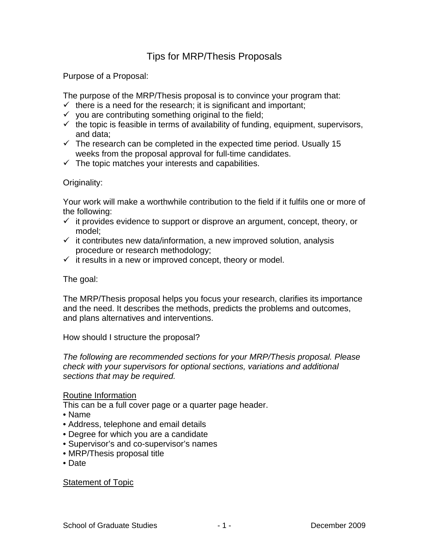# Tips for MRP/Thesis Proposals

Purpose of a Proposal:

The purpose of the MRP/Thesis proposal is to convince your program that:

- $\checkmark$  there is a need for the research; it is significant and important;
- $\checkmark$  you are contributing something original to the field;
- $\checkmark$  the topic is feasible in terms of availability of funding, equipment, supervisors, and data;
- $\checkmark$  The research can be completed in the expected time period. Usually 15 weeks from the proposal approval for full-time candidates.
- $\checkmark$  The topic matches your interests and capabilities.

# Originality:

Your work will make a worthwhile contribution to the field if it fulfils one or more of the following:

- $\checkmark$  it provides evidence to support or disprove an argument, concept, theory, or model;
- $\checkmark$  it contributes new data/information, a new improved solution, analysis procedure or research methodology;
- $\checkmark$  it results in a new or improved concept, theory or model.

The goal:

The MRP/Thesis proposal helps you focus your research, clarifies its importance and the need. It describes the methods, predicts the problems and outcomes, and plans alternatives and interventions.

How should I structure the proposal?

*The following are recommended sections for your MRP/Thesis proposal. Please check with your supervisors for optional sections, variations and additional sections that may be required.* 

## Routine Information

This can be a full cover page or a quarter page header.

- Name
- Address, telephone and email details
- Degree for which you are a candidate
- Supervisor's and co-supervisor's names
- MRP/Thesis proposal title
- Date

## Statement of Topic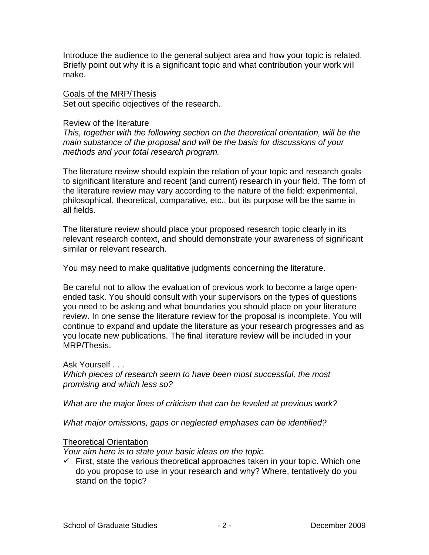Introduce the audience to the general subject area and how your topic is related. Briefly point out why it is a significant topic and what contribution your work will make.

#### Goals of the MRP/Thesis

Set out specific objectives of the research.

#### Review of the literature

*This, together with the following section on the theoretical orientation, will be the main substance of the proposal and will be the basis for discussions of your methods and your total research program.* 

The literature review should explain the relation of your topic and research goals to significant literature and recent (and current) research in your field. The form of the literature review may vary according to the nature of the field: experimental, philosophical, theoretical, comparative, etc., but its purpose will be the same in all fields.

The literature review should place your proposed research topic clearly in its relevant research context, and should demonstrate your awareness of significant similar or relevant research.

You may need to make qualitative judgments concerning the literature.

Be careful not to allow the evaluation of previous work to become a large openended task. You should consult with your supervisors on the types of questions you need to be asking and what boundaries you should place on your literature review. In one sense the literature review for the proposal is incomplete. You will continue to expand and update the literature as your research progresses and as you locate new publications. The final literature review will be included in your MRP/Thesis.

## Ask Yourself . . .

*Which pieces of research seem to have been most successful, the most promising and which less so?* 

*What are the major lines of criticism that can be leveled at previous work?* 

*What major omissions, gaps or neglected emphases can be identified?* 

## Theoretical Orientation

*Your aim here is to state your basic ideas on the topic.* 

 $\checkmark$  First, state the various theoretical approaches taken in your topic. Which one do you propose to use in your research and why? Where, tentatively do you stand on the topic?